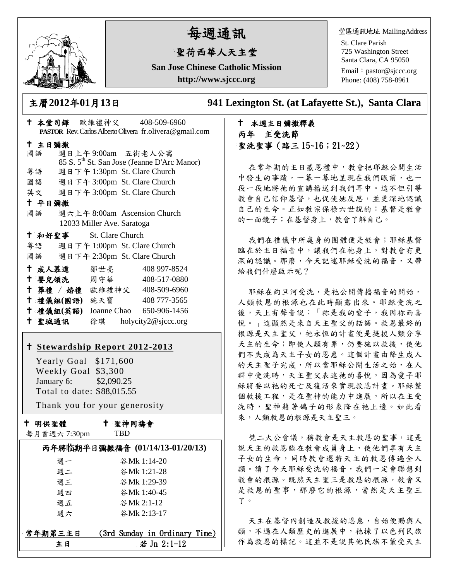

# 每週通訊

# 聖荷西華人天主堂

**San Jose Chinese Catholic Mission http://www.sjccc.org**

堂區通訊地址 MailingAddress

St. Clare Parish 725 Washington Street Santa Clara, CA 95050

Email: [pastor@sjccc.org](mailto:pastor@sjccc.org) Phone: (408) 758-8961

主曆**2012**年**01**月**13**日 **941 Lexington St. (at Lafayette St.), Santa Clara** 

# 本週主日彌撒釋義 丙年 主受洗節 聖洗聖事(路三 15~16;21~22)

在常年期的主日感恩禮中,教會把耶穌公開生活 中發生的事蹟,一幕一幕地呈現在我們眼前,也一 段一段地將祂的宣講播送到我們耳中。這不但引導 教會自己信仰基督,也促使她反思,並更深地認識 自己的生命。正如教宗保祿六世說的:基督是教會 的一面鏡子;在基督身上,教會了解自己。

我們在禮儀中所處身的團體便是教會;耶穌基督 臨在於主日福音中,讓我們在祂身上,對教會有更 深的認識。那麼,今天記述耶穌受洗的福音,又帶 給我們什麼啟示呢?

耶穌在約旦河受洗,是祂公開傳播福音的開始, 人類救恩的根源也在此時顯露出來。耶穌受洗之 後,天上有聲音說:「祢是我的愛子,我因祢而喜 悅。」這顯然是來自天主聖父的話語。救恩最終的 根源是天主聖父,祂永恆的計畫便是提拔人類分享 天主的生命;即使人類有罪,仍要施以救援,使他 們不失成為天主子女的恩惠。這個計畫由降生成人 的天主聖子完成,所以當耶穌公開生活之始,在人 群中受洗時,天主聖父表達祂的喜悅,因為愛子耶 穌將要以祂的死亡及復活來實現救恩計畫。耶穌整 個救援工程,是在聖神的能力中進展,所以在主受 洗時,聖神藉著鴿子的形象降在祂上邊。如此看 來,人類救恩的根源是天主聖三。

梵二大公會議,稱教會是天主救恩的聖事,這是 說天主的救恩臨在教會成員身上,使他們享有天主 子女的生命,同時教會還將天主的救恩傳遍全人 類。讀了今天耶穌受洗的福音,我們一定會聯想到 教會的根源。既然天主聖三是救恩的根源,教會又 是救恩的聖事,那麼它的根源,當然是天主聖三 了。

天主在基督內創造及救援的恩惠,自始便賜與人 類,不過在人類歷史的進展中,祂揀了以色列民族 作為救恩的標記。這並不是說其他民族不蒙受天主

|                         |                            | ↑ 本堂司鐸 歐維禮神父       408-509-6960                          |
|-------------------------|----------------------------|----------------------------------------------------------|
|                         |                            | PASTOR Rev. Carlos Alberto Olivera fr. olivera@gmail.com |
| 十 主日彌撒                  |                            |                                                          |
| 國語                      |                            | 週日上午9:00am 五街老人公寓                                        |
|                         |                            | 85 S. 5 <sup>th</sup> St. San Jose (Jeanne D'Arc Manor)  |
|                         |                            | 粤語 週日下午 1:30pm St. Clare Church                          |
|                         |                            | 國語 週日下午 3:00pm St. Clare Church                          |
|                         |                            | 英文 週日下午 3:00pm St. Clare Church                          |
| 十 平日彌撒                  |                            |                                                          |
|                         |                            | 國語 週六上午 8:00am Ascension Church                          |
|                         | 12033 Miller Ave. Saratoga |                                                          |
| + 和好聖事 St. Clare Church |                            |                                                          |
|                         |                            | 粤語 週日下午 1:00pm St. Clare Church                          |
|                         |                            | 國語 週日下午 2:30pm St. Clare Church                          |
|                         |                            | † 成人慕道   鄒世亮    408 997-8524                             |
|                         |                            | † 嬰兒領洗 周守華 408-517-0880                                  |
|                         |                            | + 葬禮 / 婚禮 歐維禮神父 408-509-6960                             |
| 十 禮儀組(國語) 施天寶           |                            | 408 777-3565                                             |
|                         |                            | † 禮儀組(英語) Joanne Chao 650−906−1456                       |
| 十 聖城通訊                  |                            | 徐琪 holycity2@sjccc.org                                   |
|                         |                            |                                                          |

### **[Stewardship Report 2012-2013](http://sjccc.org/index.php/finance.html?src=bulletin112512)**

 Yearly Goal \$171,600 Weekly Goal \$3,300 January 6: \$2,090.25 Total to date: \$88,015.55

Thank you for your generosity

十 明供聖體

聖神同禱會

|  | 每月首週六7:30pm |
|--|-------------|
|  |             |

TBD

|         | 丙年將临期平日彌撒福音 (01/14/13-01/20/13) |
|---------|---------------------------------|
| 调一      | 谷Mk 1:14-20                     |
| 週二      | 谷Mk 1:21-28                     |
| 週三      | 谷Mk 1:29-39                     |
| 调四      | 谷Mk 1:40-45                     |
| 週五      | 谷Mk 2:1-12                      |
| 週六      | 谷Mk 2:13-17                     |
| 常年期第三主日 | (3rd Sunday in Ordinary Time)   |
| в       | 若 Jn 2:1-12                     |